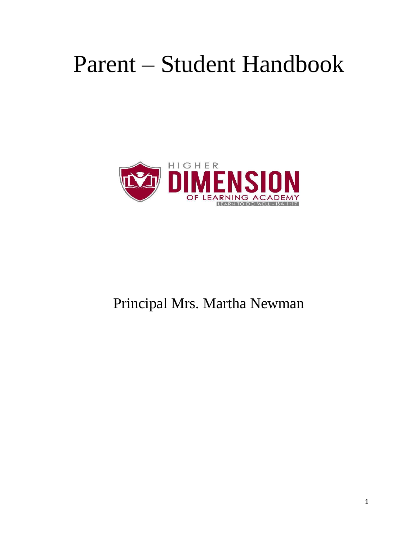# Parent – Student Handbook



## Principal Mrs. Martha Newman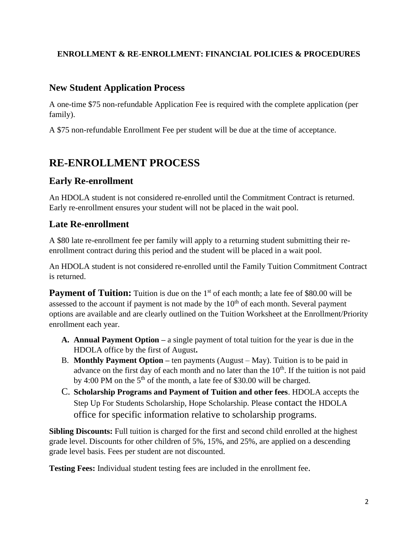### **ENROLLMENT & RE-ENROLLMENT: FINANCIAL POLICIES & PROCEDURES**

### **New Student Application Process**

A one-time \$75 non-refundable Application Fee is required with the complete application (per family).

A \$75 non-refundable Enrollment Fee per student will be due at the time of acceptance.

### **RE-ENROLLMENT PROCESS**

### **Early Re-enrollment**

An HDOLA student is not considered re-enrolled until the Commitment Contract is returned. Early re-enrollment ensures your student will not be placed in the wait pool.

### **Late Re-enrollment**

A \$80 late re-enrollment fee per family will apply to a returning student submitting their reenrollment contract during this period and the student will be placed in a wait pool.

An HDOLA student is not considered re-enrolled until the Family Tuition Commitment Contract is returned.

**Payment of Tuition:** Tuition is due on the 1<sup>st</sup> of each month; a late fee of \$80.00 will be assessed to the account if payment is not made by the  $10<sup>th</sup>$  of each month. Several payment options are available and are clearly outlined on the Tuition Worksheet at the Enrollment/Priority enrollment each year.

- **A. Annual Payment Option –** a single payment of total tuition for the year is due in the HDOLA office by the first of August**.**
- B. **Monthly Payment Option –** ten payments (August May). Tuition is to be paid in advance on the first day of each month and no later than the  $10<sup>th</sup>$ . If the tuition is not paid by 4:00 PM on the  $5<sup>th</sup>$  of the month, a late fee of \$30.00 will be charged.
- C. **Scholarship Programs and Payment of Tuition and other fees**. HDOLA accepts the Step Up For Students Scholarship, Hope Scholarship. Please contact the HDOLA office for specific information relative to scholarship programs.

**Sibling Discounts:** Full tuition is charged for the first and second child enrolled at the highest grade level. Discounts for other children of 5%, 15%, and 25%, are applied on a descending grade level basis. Fees per student are not discounted.

**Testing Fees:** Individual student testing fees are included in the enrollment fee.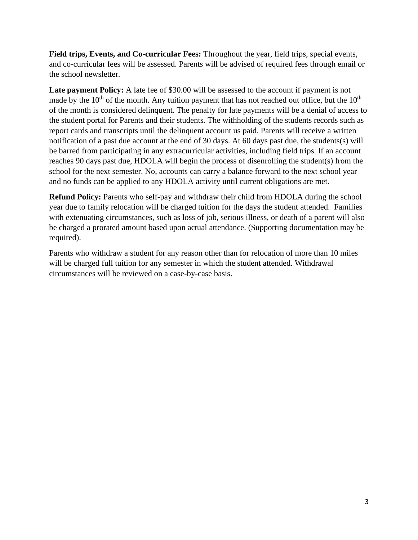**Field trips, Events, and Co-curricular Fees:** Throughout the year, field trips, special events, and co-curricular fees will be assessed. Parents will be advised of required fees through email or the school newsletter.

Late payment Policy: A late fee of \$30.00 will be assessed to the account if payment is not made by the  $10<sup>th</sup>$  of the month. Any tuition payment that has not reached out office, but the  $10<sup>th</sup>$ of the month is considered delinquent. The penalty for late payments will be a denial of access to the student portal for Parents and their students. The withholding of the students records such as report cards and transcripts until the delinquent account us paid. Parents will receive a written notification of a past due account at the end of 30 days. At 60 days past due, the students(s) will be barred from participating in any extracurricular activities, including field trips. If an account reaches 90 days past due, HDOLA will begin the process of disenrolling the student(s) from the school for the next semester. No, accounts can carry a balance forward to the next school year and no funds can be applied to any HDOLA activity until current obligations are met.

**Refund Policy:** Parents who self-pay and withdraw their child from HDOLA during the school year due to family relocation will be charged tuition for the days the student attended. Families with extenuating circumstances, such as loss of job, serious illness, or death of a parent will also be charged a prorated amount based upon actual attendance. (Supporting documentation may be required).

Parents who withdraw a student for any reason other than for relocation of more than 10 miles will be charged full tuition for any semester in which the student attended. Withdrawal circumstances will be reviewed on a case-by-case basis.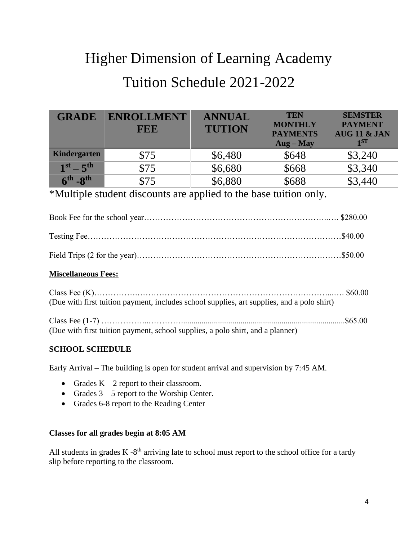# Higher Dimension of Learning Academy Tuition Schedule 2021-2022

| <b>GRADE</b>      | <b>ENROLLMENT</b><br><b>FEE</b> | <b>ANNUAL</b><br><b>TUTION</b> | <b>TEN</b><br><b>MONTHLY</b><br><b>PAYMENTS</b><br>$\bf{Aug - May}$ | <b>SEMSTER</b><br><b>PAYMENT</b><br><b>AUG 11 &amp; JAN</b><br>1ST |
|-------------------|---------------------------------|--------------------------------|---------------------------------------------------------------------|--------------------------------------------------------------------|
| Kindergarten      | \$75                            | \$6,480                        | \$648                                                               | \$3,240                                                            |
| $1^{st} - 5^{th}$ | \$75                            | \$6,680                        | \$668                                                               | \$3,340                                                            |
| $6th - 8th$       | \$75                            | \$6,880                        | \$688                                                               | \$3,440                                                            |

### \*Multiple student discounts are applied to the base tuition only.

| <b>Miscellaneous Fees:</b> |  |
|----------------------------|--|
|                            |  |
|                            |  |
|                            |  |

| (Due with first tuition payment, includes school supplies, art supplies, and a polo shirt) |  |
|--------------------------------------------------------------------------------------------|--|
|                                                                                            |  |
| (Due with first tuition payment, school supplies, a polo shirt, and a planner)             |  |

### **SCHOOL SCHEDULE**

Early Arrival – The building is open for student arrival and supervision by 7:45 AM.

- Grades  $K 2$  report to their classroom.
- Grades  $3 5$  report to the Worship Center.
- Grades 6-8 report to the Reading Center

#### **Classes for all grades begin at 8:05 AM**

All students in grades  $K - 8<sup>th</sup>$  arriving late to school must report to the school office for a tardy slip before reporting to the classroom.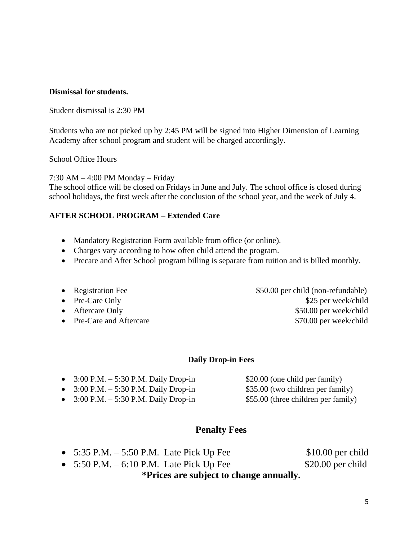### **Dismissal for students.**

#### Student dismissal is 2:30 PM

Students who are not picked up by 2:45 PM will be signed into Higher Dimension of Learning Academy after school program and student will be charged accordingly.

#### School Office Hours

7:30 AM – 4:00 PM Monday – Friday

The school office will be closed on Fridays in June and July. The school office is closed during school holidays, the first week after the conclusion of the school year, and the week of July 4.

### **AFTER SCHOOL PROGRAM – Extended Care**

- Mandatory Registration Form available from office (or online).
- Charges vary according to how often child attend the program.
- Precare and After School program billing is separate from tuition and is billed monthly.
- 
- 
- 
- 

• Registration Fee  $$50.00$  per child (non-refundable) • Pre-Care Only \$25 per week/child • Aftercare Only \$50.00 per week/child • Pre-Care and Aftercare \$70.00 per week/child

#### **Daily Drop-in Fees**

| • $3:00 \text{ P.M.} - 5:30 \text{ P.M.}$ Daily Drop-in | \$20.00 (one child per family)      |
|---------------------------------------------------------|-------------------------------------|
| • $3:00 \text{ P.M.} - 5:30 \text{ P.M.}$ Daily Drop-in | \$35.00 (two children per family)   |
| • $3:00 \text{ P.M.} - 5:30 \text{ P.M.}$ Daily Drop-in | \$55.00 (three children per family) |

### **Penalty Fees**

• 5:35 P.M. – 5:50 P.M. Late Pick Up Fee \$10.00 per child

•  $5:50 \text{ P.M.} - 6:10 \text{ P.M.}$  Late Pick Up Fee \$20.00 per child **\*Prices are subject to change annually.**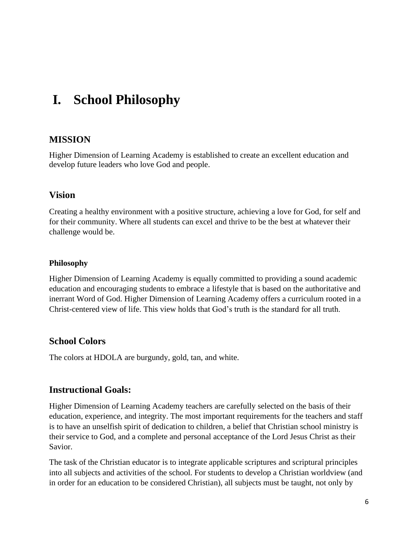## **I. School Philosophy**

### **MISSION**

Higher Dimension of Learning Academy is established to create an excellent education and develop future leaders who love God and people.

### **Vision**

Creating a healthy environment with a positive structure, achieving a love for God, for self and for their community. Where all students can excel and thrive to be the best at whatever their challenge would be.

### **Philosophy**

Higher Dimension of Learning Academy is equally committed to providing a sound academic education and encouraging students to embrace a lifestyle that is based on the authoritative and inerrant Word of God. Higher Dimension of Learning Academy offers a curriculum rooted in a Christ-centered view of life. This view holds that God's truth is the standard for all truth.

### **School Colors**

The colors at HDOLA are burgundy, gold, tan, and white.

### **Instructional Goals:**

Higher Dimension of Learning Academy teachers are carefully selected on the basis of their education, experience, and integrity. The most important requirements for the teachers and staff is to have an unselfish spirit of dedication to children, a belief that Christian school ministry is their service to God, and a complete and personal acceptance of the Lord Jesus Christ as their Savior.

The task of the Christian educator is to integrate applicable scriptures and scriptural principles into all subjects and activities of the school. For students to develop a Christian worldview (and in order for an education to be considered Christian), all subjects must be taught, not only by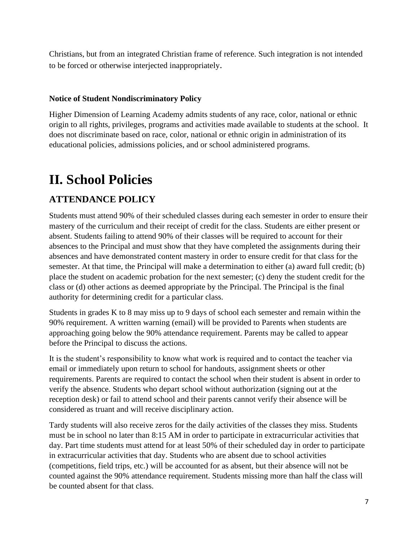Christians, but from an integrated Christian frame of reference. Such integration is not intended to be forced or otherwise interjected inappropriately.

### **Notice of Student Nondiscriminatory Policy**

Higher Dimension of Learning Academy admits students of any race, color, national or ethnic origin to all rights, privileges, programs and activities made available to students at the school. It does not discriminate based on race, color, national or ethnic origin in administration of its educational policies, admissions policies, and or school administered programs.

## **II. School Policies**

### **ATTENDANCE POLICY**

Students must attend 90% of their scheduled classes during each semester in order to ensure their mastery of the curriculum and their receipt of credit for the class. Students are either present or absent. Students failing to attend 90% of their classes will be required to account for their absences to the Principal and must show that they have completed the assignments during their absences and have demonstrated content mastery in order to ensure credit for that class for the semester. At that time, the Principal will make a determination to either (a) award full credit; (b) place the student on academic probation for the next semester; (c) deny the student credit for the class or (d) other actions as deemed appropriate by the Principal. The Principal is the final authority for determining credit for a particular class.

Students in grades K to 8 may miss up to 9 days of school each semester and remain within the 90% requirement. A written warning (email) will be provided to Parents when students are approaching going below the 90% attendance requirement. Parents may be called to appear before the Principal to discuss the actions.

It is the student's responsibility to know what work is required and to contact the teacher via email or immediately upon return to school for handouts, assignment sheets or other requirements. Parents are required to contact the school when their student is absent in order to verify the absence. Students who depart school without authorization (signing out at the reception desk) or fail to attend school and their parents cannot verify their absence will be considered as truant and will receive disciplinary action.

Tardy students will also receive zeros for the daily activities of the classes they miss. Students must be in school no later than 8:15 AM in order to participate in extracurricular activities that day. Part time students must attend for at least 50% of their scheduled day in order to participate in extracurricular activities that day. Students who are absent due to school activities (competitions, field trips, etc.) will be accounted for as absent, but their absence will not be counted against the 90% attendance requirement. Students missing more than half the class will be counted absent for that class.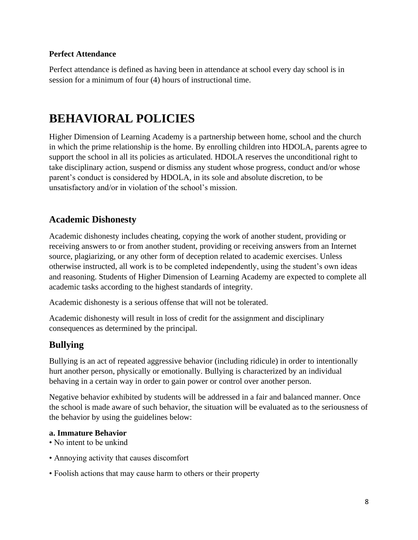### **Perfect Attendance**

Perfect attendance is defined as having been in attendance at school every day school is in session for a minimum of four (4) hours of instructional time.

### **BEHAVIORAL POLICIES**

Higher Dimension of Learning Academy is a partnership between home, school and the church in which the prime relationship is the home. By enrolling children into HDOLA, parents agree to support the school in all its policies as articulated. HDOLA reserves the unconditional right to take disciplinary action, suspend or dismiss any student whose progress, conduct and/or whose parent's conduct is considered by HDOLA, in its sole and absolute discretion, to be unsatisfactory and/or in violation of the school's mission.

### **Academic Dishonesty**

Academic dishonesty includes cheating, copying the work of another student, providing or receiving answers to or from another student, providing or receiving answers from an Internet source, plagiarizing, or any other form of deception related to academic exercises. Unless otherwise instructed, all work is to be completed independently, using the student's own ideas and reasoning. Students of Higher Dimension of Learning Academy are expected to complete all academic tasks according to the highest standards of integrity.

Academic dishonesty is a serious offense that will not be tolerated.

Academic dishonesty will result in loss of credit for the assignment and disciplinary consequences as determined by the principal.

### **Bullying**

Bullying is an act of repeated aggressive behavior (including ridicule) in order to intentionally hurt another person, physically or emotionally. Bullying is characterized by an individual behaving in a certain way in order to gain power or control over another person.

Negative behavior exhibited by students will be addressed in a fair and balanced manner. Once the school is made aware of such behavior, the situation will be evaluated as to the seriousness of the behavior by using the guidelines below:

#### **a. Immature Behavior**

- No intent to be unkind
- Annoying activity that causes discomfort
- Foolish actions that may cause harm to others or their property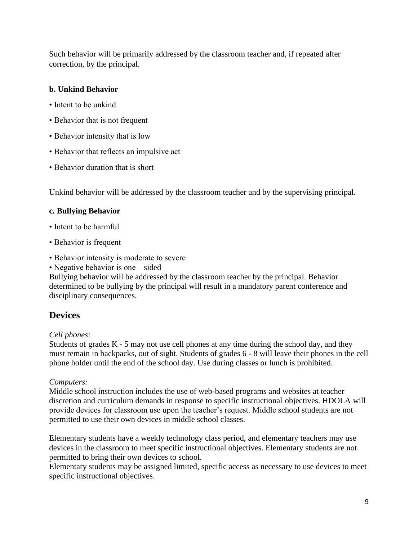Such behavior will be primarily addressed by the classroom teacher and, if repeated after correction, by the principal.

### **b. Unkind Behavior**

- Intent to be unkind
- Behavior that is not frequent
- Behavior intensity that is low
- Behavior that reflects an impulsive act
- Behavior duration that is short

Unkind behavior will be addressed by the classroom teacher and by the supervising principal.

### **c. Bullying Behavior**

- Intent to be harmful
- Behavior is frequent
- Behavior intensity is moderate to severe
- Negative behavior is one sided

Bullying behavior will be addressed by the classroom teacher by the principal. Behavior determined to be bullying by the principal will result in a mandatory parent conference and disciplinary consequences.

### **Devices**

### *Cell phones:*

Students of grades  $K - 5$  may not use cell phones at any time during the school day, and they must remain in backpacks, out of sight. Students of grades 6 - 8 will leave their phones in the cell phone holder until the end of the school day. Use during classes or lunch is prohibited.

### *Computers:*

Middle school instruction includes the use of web-based programs and websites at teacher discretion and curriculum demands in response to specific instructional objectives. HDOLA will provide devices for classroom use upon the teacher's request. Middle school students are not permitted to use their own devices in middle school classes.

Elementary students have a weekly technology class period, and elementary teachers may use devices in the classroom to meet specific instructional objectives. Elementary students are not permitted to bring their own devices to school.

Elementary students may be assigned limited, specific access as necessary to use devices to meet specific instructional objectives.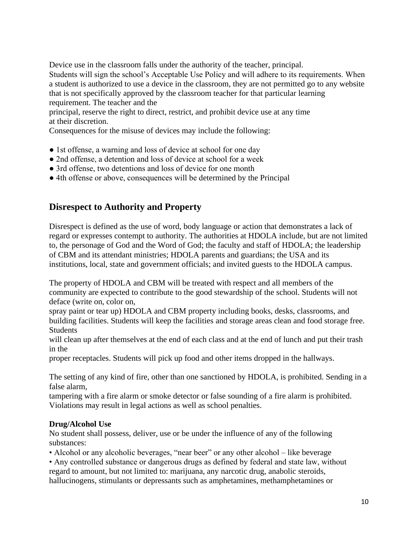Device use in the classroom falls under the authority of the teacher, principal.

Students will sign the school's Acceptable Use Policy and will adhere to its requirements. When a student is authorized to use a device in the classroom, they are not permitted go to any website that is not specifically approved by the classroom teacher for that particular learning requirement. The teacher and the

principal, reserve the right to direct, restrict, and prohibit device use at any time at their discretion.

Consequences for the misuse of devices may include the following:

- 1st offense, a warning and loss of device at school for one day
- 2nd offense, a detention and loss of device at school for a week
- 3rd offense, two detentions and loss of device for one month
- 4th offense or above, consequences will be determined by the Principal

### **Disrespect to Authority and Property**

Disrespect is defined as the use of word, body language or action that demonstrates a lack of regard or expresses contempt to authority. The authorities at HDOLA include, but are not limited to, the personage of God and the Word of God; the faculty and staff of HDOLA; the leadership of CBM and its attendant ministries; HDOLA parents and guardians; the USA and its institutions, local, state and government officials; and invited guests to the HDOLA campus.

The property of HDOLA and CBM will be treated with respect and all members of the community are expected to contribute to the good stewardship of the school. Students will not deface (write on, color on,

spray paint or tear up) HDOLA and CBM property including books, desks, classrooms, and building facilities. Students will keep the facilities and storage areas clean and food storage free. Students

will clean up after themselves at the end of each class and at the end of lunch and put their trash in the

proper receptacles. Students will pick up food and other items dropped in the hallways.

The setting of any kind of fire, other than one sanctioned by HDOLA, is prohibited. Sending in a false alarm,

tampering with a fire alarm or smoke detector or false sounding of a fire alarm is prohibited. Violations may result in legal actions as well as school penalties.

### **Drug/Alcohol Use**

No student shall possess, deliver, use or be under the influence of any of the following substances:

• Alcohol or any alcoholic beverages, "near beer" or any other alcohol – like beverage

• Any controlled substance or dangerous drugs as defined by federal and state law, without regard to amount, but not limited to: marijuana, any narcotic drug, anabolic steroids, hallucinogens, stimulants or depressants such as amphetamines, methamphetamines or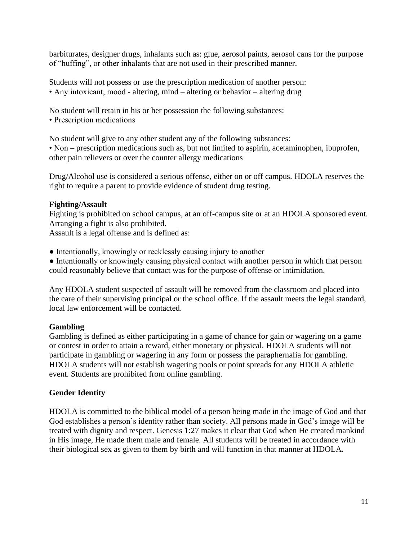barbiturates, designer drugs, inhalants such as: glue, aerosol paints, aerosol cans for the purpose of "huffing", or other inhalants that are not used in their prescribed manner.

Students will not possess or use the prescription medication of another person: • Any intoxicant, mood - altering, mind – altering or behavior – altering drug

No student will retain in his or her possession the following substances:

• Prescription medications

No student will give to any other student any of the following substances:

• Non – prescription medications such as, but not limited to aspirin, acetaminophen, ibuprofen, other pain relievers or over the counter allergy medications

Drug/Alcohol use is considered a serious offense, either on or off campus. HDOLA reserves the right to require a parent to provide evidence of student drug testing.

### **Fighting/Assault**

Fighting is prohibited on school campus, at an off-campus site or at an HDOLA sponsored event. Arranging a fight is also prohibited.

Assault is a legal offense and is defined as:

• Intentionally, knowingly or recklessly causing injury to another

● Intentionally or knowingly causing physical contact with another person in which that person could reasonably believe that contact was for the purpose of offense or intimidation.

Any HDOLA student suspected of assault will be removed from the classroom and placed into the care of their supervising principal or the school office. If the assault meets the legal standard, local law enforcement will be contacted.

### **Gambling**

Gambling is defined as either participating in a game of chance for gain or wagering on a game or contest in order to attain a reward, either monetary or physical. HDOLA students will not participate in gambling or wagering in any form or possess the paraphernalia for gambling. HDOLA students will not establish wagering pools or point spreads for any HDOLA athletic event. Students are prohibited from online gambling.

### **Gender Identity**

HDOLA is committed to the biblical model of a person being made in the image of God and that God establishes a person's identity rather than society. All persons made in God's image will be treated with dignity and respect. Genesis 1:27 makes it clear that God when He created mankind in His image, He made them male and female. All students will be treated in accordance with their biological sex as given to them by birth and will function in that manner at HDOLA.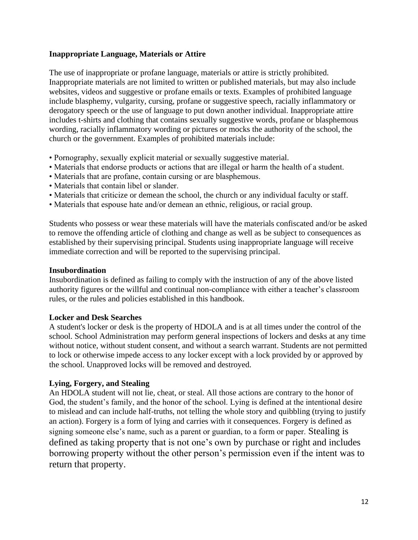### **Inappropriate Language, Materials or Attire**

The use of inappropriate or profane language, materials or attire is strictly prohibited. Inappropriate materials are not limited to written or published materials, but may also include websites, videos and suggestive or profane emails or texts. Examples of prohibited language include blasphemy, vulgarity, cursing, profane or suggestive speech, racially inflammatory or derogatory speech or the use of language to put down another individual. Inappropriate attire includes t-shirts and clothing that contains sexually suggestive words, profane or blasphemous wording, racially inflammatory wording or pictures or mocks the authority of the school, the church or the government. Examples of prohibited materials include:

- Pornography, sexually explicit material or sexually suggestive material.
- Materials that endorse products or actions that are illegal or harm the health of a student.
- Materials that are profane, contain cursing or are blasphemous.
- Materials that contain libel or slander.
- Materials that criticize or demean the school, the church or any individual faculty or staff.
- Materials that espouse hate and/or demean an ethnic, religious, or racial group.

Students who possess or wear these materials will have the materials confiscated and/or be asked to remove the offending article of clothing and change as well as be subject to consequences as established by their supervising principal. Students using inappropriate language will receive immediate correction and will be reported to the supervising principal.

#### **Insubordination**

Insubordination is defined as failing to comply with the instruction of any of the above listed authority figures or the willful and continual non-compliance with either a teacher's classroom rules, or the rules and policies established in this handbook.

#### **Locker and Desk Searches**

A student's locker or desk is the property of HDOLA and is at all times under the control of the school. School Administration may perform general inspections of lockers and desks at any time without notice, without student consent, and without a search warrant. Students are not permitted to lock or otherwise impede access to any locker except with a lock provided by or approved by the school. Unapproved locks will be removed and destroyed.

### **Lying, Forgery, and Stealing**

An HDOLA student will not lie, cheat, or steal. All those actions are contrary to the honor of God, the student's family, and the honor of the school. Lying is defined at the intentional desire to mislead and can include half-truths, not telling the whole story and quibbling (trying to justify an action). Forgery is a form of lying and carries with it consequences. Forgery is defined as signing someone else's name, such as a parent or guardian, to a form or paper. Stealing is defined as taking property that is not one's own by purchase or right and includes borrowing property without the other person's permission even if the intent was to return that property.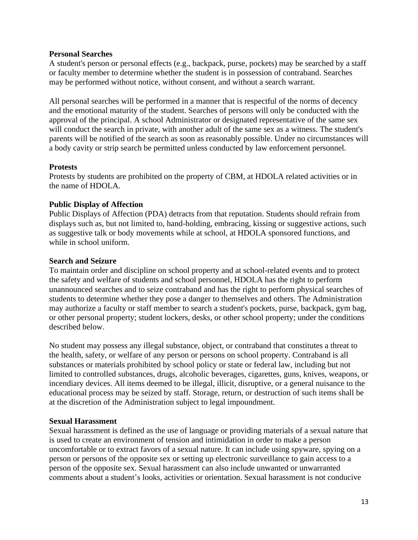#### **Personal Searches**

A student's person or personal effects (e.g., backpack, purse, pockets) may be searched by a staff or faculty member to determine whether the student is in possession of contraband. Searches may be performed without notice, without consent, and without a search warrant.

All personal searches will be performed in a manner that is respectful of the norms of decency and the emotional maturity of the student. Searches of persons will only be conducted with the approval of the principal. A school Administrator or designated representative of the same sex will conduct the search in private, with another adult of the same sex as a witness. The student's parents will be notified of the search as soon as reasonably possible. Under no circumstances will a body cavity or strip search be permitted unless conducted by law enforcement personnel.

### **Protests**

Protests by students are prohibited on the property of CBM, at HDOLA related activities or in the name of HDOLA.

### **Public Display of Affection**

Public Displays of Affection (PDA) detracts from that reputation. Students should refrain from displays such as, but not limited to, hand-holding, embracing, kissing or suggestive actions, such as suggestive talk or body movements while at school, at HDOLA sponsored functions, and while in school uniform.

### **Search and Seizure**

To maintain order and discipline on school property and at school-related events and to protect the safety and welfare of students and school personnel, HDOLA has the right to perform unannounced searches and to seize contraband and has the right to perform physical searches of students to determine whether they pose a danger to themselves and others. The Administration may authorize a faculty or staff member to search a student's pockets, purse, backpack, gym bag, or other personal property; student lockers, desks, or other school property; under the conditions described below.

No student may possess any illegal substance, object, or contraband that constitutes a threat to the health, safety, or welfare of any person or persons on school property. Contraband is all substances or materials prohibited by school policy or state or federal law, including but not limited to controlled substances, drugs, alcoholic beverages, cigarettes, guns, knives, weapons, or incendiary devices. All items deemed to be illegal, illicit, disruptive, or a general nuisance to the educational process may be seized by staff. Storage, return, or destruction of such items shall be at the discretion of the Administration subject to legal impoundment.

#### **Sexual Harassment**

Sexual harassment is defined as the use of language or providing materials of a sexual nature that is used to create an environment of tension and intimidation in order to make a person uncomfortable or to extract favors of a sexual nature. It can include using spyware, spying on a person or persons of the opposite sex or setting up electronic surveillance to gain access to a person of the opposite sex. Sexual harassment can also include unwanted or unwarranted comments about a student's looks, activities or orientation. Sexual harassment is not conducive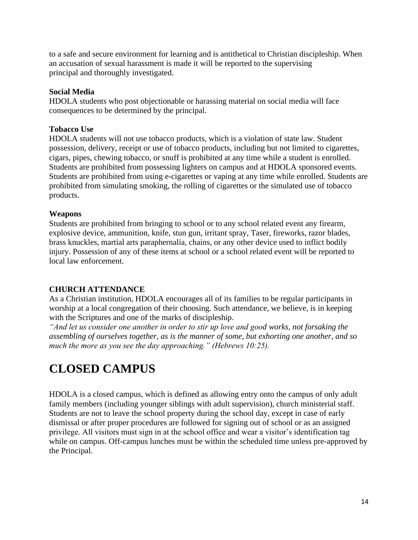to a safe and secure environment for learning and is antithetical to Christian discipleship. When an accusation of sexual harassment is made it will be reported to the supervising principal and thoroughly investigated.

### **Social Media**

HDOLA students who post objectionable or harassing material on social media will face consequences to be determined by the principal.

### **Tobacco Use**

HDOLA students will not use tobacco products, which is a violation of state law. Student possession, delivery, receipt or use of tobacco products, including but not limited to cigarettes, cigars, pipes, chewing tobacco, or snuff is prohibited at any time while a student is enrolled. Students are prohibited from possessing lighters on campus and at HDOLA sponsored events. Students are prohibited from using e-cigarettes or vaping at any time while enrolled. Students are prohibited from simulating smoking, the rolling of cigarettes or the simulated use of tobacco products.

### **Weapons**

Students are prohibited from bringing to school or to any school related event any firearm, explosive device, ammunition, knife, stun gun, irritant spray, Taser, fireworks, razor blades, brass knuckles, martial arts paraphernalia, chains, or any other device used to inflict bodily injury. Possession of any of these items at school or a school related event will be reported to local law enforcement.

### **CHURCH ATTENDANCE**

As a Christian institution, HDOLA encourages all of its families to be regular participants in worship at a local congregation of their choosing. Such attendance, we believe, is in keeping with the Scriptures and one of the marks of discipleship.

*"And let us consider one another in order to stir up love and good works, not forsaking the assembling of ourselves together, as is the manner of some, but exhorting one another, and so much the more as you see the day approaching." (Hebrews 10:25).*

### **CLOSED CAMPUS**

HDOLA is a closed campus, which is defined as allowing entry onto the campus of only adult family members (including younger siblings with adult supervision), church ministerial staff. Students are not to leave the school property during the school day, except in case of early dismissal or after proper procedures are followed for signing out of school or as an assigned privilege. All visitors must sign in at the school office and wear a visitor's identification tag while on campus. Off-campus lunches must be within the scheduled time unless pre-approved by the Principal.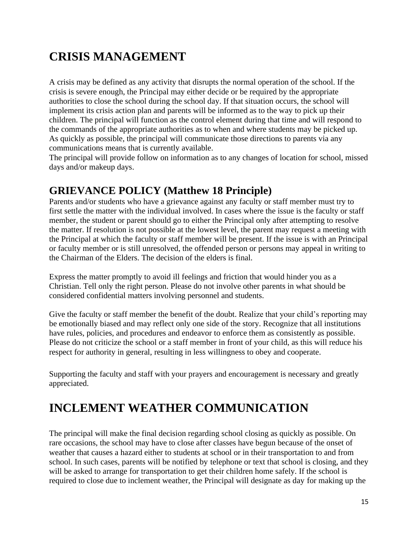## **CRISIS MANAGEMENT**

A crisis may be defined as any activity that disrupts the normal operation of the school. If the crisis is severe enough, the Principal may either decide or be required by the appropriate authorities to close the school during the school day. If that situation occurs, the school will implement its crisis action plan and parents will be informed as to the way to pick up their children. The principal will function as the control element during that time and will respond to the commands of the appropriate authorities as to when and where students may be picked up. As quickly as possible, the principal will communicate those directions to parents via any communications means that is currently available.

The principal will provide follow on information as to any changes of location for school, missed days and/or makeup days.

### **GRIEVANCE POLICY (Matthew 18 Principle)**

Parents and/or students who have a grievance against any faculty or staff member must try to first settle the matter with the individual involved. In cases where the issue is the faculty or staff member, the student or parent should go to either the Principal only after attempting to resolve the matter. If resolution is not possible at the lowest level, the parent may request a meeting with the Principal at which the faculty or staff member will be present. If the issue is with an Principal or faculty member or is still unresolved, the offended person or persons may appeal in writing to the Chairman of the Elders. The decision of the elders is final.

Express the matter promptly to avoid ill feelings and friction that would hinder you as a Christian. Tell only the right person. Please do not involve other parents in what should be considered confidential matters involving personnel and students.

Give the faculty or staff member the benefit of the doubt. Realize that your child's reporting may be emotionally biased and may reflect only one side of the story. Recognize that all institutions have rules, policies, and procedures and endeavor to enforce them as consistently as possible. Please do not criticize the school or a staff member in front of your child, as this will reduce his respect for authority in general, resulting in less willingness to obey and cooperate.

Supporting the faculty and staff with your prayers and encouragement is necessary and greatly appreciated.

## **INCLEMENT WEATHER COMMUNICATION**

The principal will make the final decision regarding school closing as quickly as possible. On rare occasions, the school may have to close after classes have begun because of the onset of weather that causes a hazard either to students at school or in their transportation to and from school. In such cases, parents will be notified by telephone or text that school is closing, and they will be asked to arrange for transportation to get their children home safely. If the school is required to close due to inclement weather, the Principal will designate as day for making up the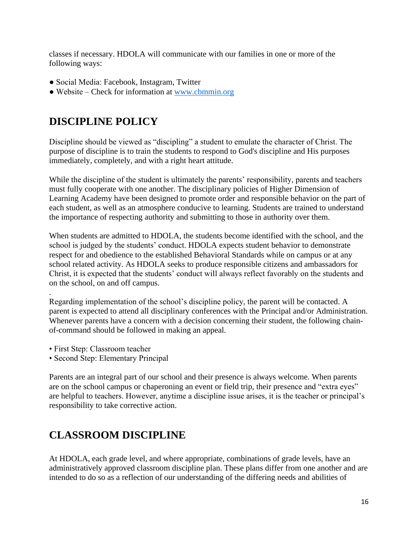classes if necessary. HDOLA will communicate with our families in one or more of the following ways:

- Social Media: Facebook, Instagram, Twitter
- Website Check for information at [www.cbmmin.org](http://www.cbmmin.org/)

### **DISCIPLINE POLICY**

Discipline should be viewed as "discipling" a student to emulate the character of Christ. The purpose of discipline is to train the students to respond to God's discipline and His purposes immediately, completely, and with a right heart attitude.

While the discipline of the student is ultimately the parents' responsibility, parents and teachers must fully cooperate with one another. The disciplinary policies of Higher Dimension of Learning Academy have been designed to promote order and responsible behavior on the part of each student, as well as an atmosphere conducive to learning. Students are trained to understand the importance of respecting authority and submitting to those in authority over them.

When students are admitted to HDOLA, the students become identified with the school, and the school is judged by the students' conduct. HDOLA expects student behavior to demonstrate respect for and obedience to the established Behavioral Standards while on campus or at any school related activity. As HDOLA seeks to produce responsible citizens and ambassadors for Christ, it is expected that the students' conduct will always reflect favorably on the students and on the school, on and off campus.

. Regarding implementation of the school's discipline policy, the parent will be contacted. A parent is expected to attend all disciplinary conferences with the Principal and/or Administration. Whenever parents have a concern with a decision concerning their student, the following chainof-command should be followed in making an appeal.

- First Step: Classroom teacher
- Second Step: Elementary Principal

Parents are an integral part of our school and their presence is always welcome. When parents are on the school campus or chaperoning an event or field trip, their presence and "extra eyes" are helpful to teachers. However, anytime a discipline issue arises, it is the teacher or principal's responsibility to take corrective action.

### **CLASSROOM DISCIPLINE**

At HDOLA, each grade level, and where appropriate, combinations of grade levels, have an administratively approved classroom discipline plan. These plans differ from one another and are intended to do so as a reflection of our understanding of the differing needs and abilities of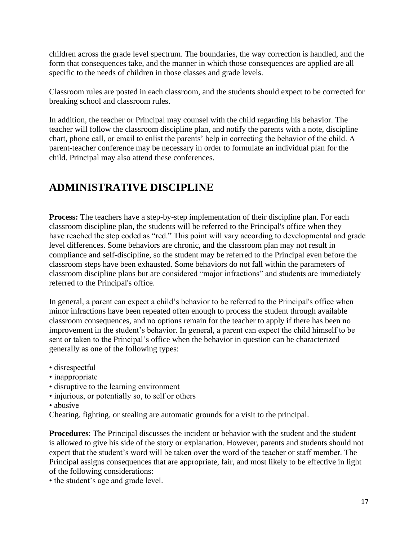children across the grade level spectrum. The boundaries, the way correction is handled, and the form that consequences take, and the manner in which those consequences are applied are all specific to the needs of children in those classes and grade levels.

Classroom rules are posted in each classroom, and the students should expect to be corrected for breaking school and classroom rules.

In addition, the teacher or Principal may counsel with the child regarding his behavior. The teacher will follow the classroom discipline plan, and notify the parents with a note, discipline chart, phone call, or email to enlist the parents' help in correcting the behavior of the child. A parent-teacher conference may be necessary in order to formulate an individual plan for the child. Principal may also attend these conferences.

### **ADMINISTRATIVE DISCIPLINE**

**Process:** The teachers have a step-by-step implementation of their discipline plan. For each classroom discipline plan, the students will be referred to the Principal's office when they have reached the step coded as "red." This point will vary according to developmental and grade level differences. Some behaviors are chronic, and the classroom plan may not result in compliance and self-discipline, so the student may be referred to the Principal even before the classroom steps have been exhausted. Some behaviors do not fall within the parameters of classroom discipline plans but are considered "major infractions" and students are immediately referred to the Principal's office.

In general, a parent can expect a child's behavior to be referred to the Principal's office when minor infractions have been repeated often enough to process the student through available classroom consequences, and no options remain for the teacher to apply if there has been no improvement in the student's behavior. In general, a parent can expect the child himself to be sent or taken to the Principal's office when the behavior in question can be characterized generally as one of the following types:

- disrespectful
- inappropriate
- disruptive to the learning environment
- injurious, or potentially so, to self or others
- abusive

Cheating, fighting, or stealing are automatic grounds for a visit to the principal.

**Procedures**: The Principal discusses the incident or behavior with the student and the student is allowed to give his side of the story or explanation. However, parents and students should not expect that the student's word will be taken over the word of the teacher or staff member. The Principal assigns consequences that are appropriate, fair, and most likely to be effective in light of the following considerations:

• the student's age and grade level.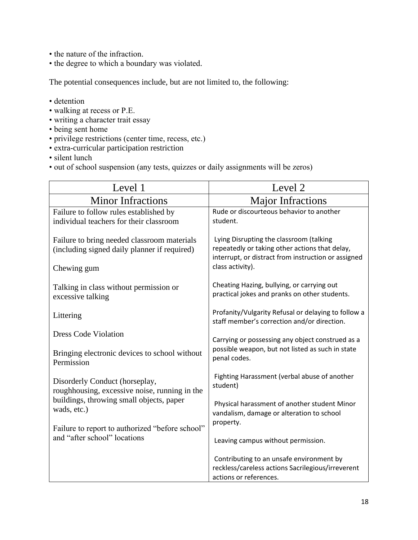- the nature of the infraction.
- the degree to which a boundary was violated.

The potential consequences include, but are not limited to, the following:

- detention
- walking at recess or P.E.
- writing a character trait essay
- being sent home
- privilege restrictions (center time, recess, etc.)
- extra-curricular participation restriction
- silent lunch
- out of school suspension (any tests, quizzes or daily assignments will be zeros)

| Level 1                                                                                     | Level 2                                                                                                                                          |  |
|---------------------------------------------------------------------------------------------|--------------------------------------------------------------------------------------------------------------------------------------------------|--|
| <b>Minor Infractions</b>                                                                    | <b>Major Infractions</b>                                                                                                                         |  |
| Failure to follow rules established by<br>individual teachers for their classroom           | Rude or discourteous behavior to another<br>student.                                                                                             |  |
| Failure to bring needed classroom materials<br>(including signed daily planner if required) | Lying Disrupting the classroom (talking<br>repeatedly or taking other actions that delay,<br>interrupt, or distract from instruction or assigned |  |
| Chewing gum                                                                                 | class activity).                                                                                                                                 |  |
| Talking in class without permission or<br>excessive talking                                 | Cheating Hazing, bullying, or carrying out<br>practical jokes and pranks on other students.                                                      |  |
| Littering                                                                                   | Profanity/Vulgarity Refusal or delaying to follow a<br>staff member's correction and/or direction.                                               |  |
| <b>Dress Code Violation</b>                                                                 | Carrying or possessing any object construed as a                                                                                                 |  |
| Bringing electronic devices to school without<br>Permission                                 | possible weapon, but not listed as such in state<br>penal codes.                                                                                 |  |
| Disorderly Conduct (horseplay,<br>roughhousing, excessive noise, running in the             | Fighting Harassment (verbal abuse of another<br>student)                                                                                         |  |
| buildings, throwing small objects, paper<br>wads, etc.)                                     | Physical harassment of another student Minor<br>vandalism, damage or alteration to school                                                        |  |
| Failure to report to authorized "before school"                                             | property.                                                                                                                                        |  |
| and "after school" locations                                                                | Leaving campus without permission.                                                                                                               |  |
|                                                                                             | Contributing to an unsafe environment by<br>reckless/careless actions Sacrilegious/irreverent                                                    |  |
|                                                                                             | actions or references.                                                                                                                           |  |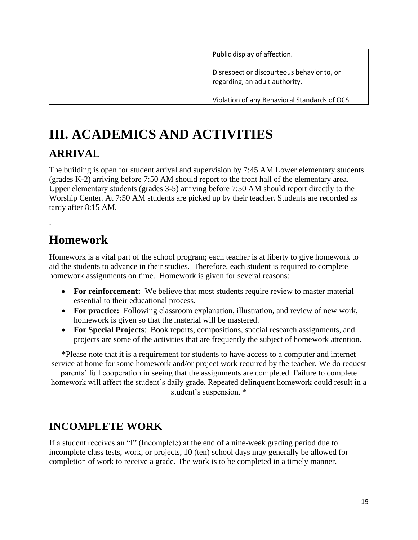| Public display of affection.                                                 |
|------------------------------------------------------------------------------|
| Disrespect or discourteous behavior to, or<br>regarding, an adult authority. |
| Violation of any Behavioral Standards of OCS                                 |

## **III. ACADEMICS AND ACTIVITIES**

### **ARRIVAL**

The building is open for student arrival and supervision by 7:45 AM Lower elementary students (grades K-2) arriving before 7:50 AM should report to the front hall of the elementary area. Upper elementary students (grades 3-5) arriving before 7:50 AM should report directly to the Worship Center. At 7:50 AM students are picked up by their teacher. Students are recorded as tardy after 8:15 AM.

## **Homework**

.

Homework is a vital part of the school program; each teacher is at liberty to give homework to aid the students to advance in their studies. Therefore, each student is required to complete homework assignments on time. Homework is given for several reasons:

- For reinforcement: We believe that most students require review to master material essential to their educational process.
- **For practice:** Following classroom explanation, illustration, and review of new work, homework is given so that the material will be mastered.
- **For Special Projects**: Book reports, compositions, special research assignments, and projects are some of the activities that are frequently the subject of homework attention.

\*Please note that it is a requirement for students to have access to a computer and internet service at home for some homework and/or project work required by the teacher. We do request

parents' full cooperation in seeing that the assignments are completed. Failure to complete homework will affect the student's daily grade. Repeated delinquent homework could result in a student's suspension. \*

### **INCOMPLETE WORK**

If a student receives an "I" (Incomplete) at the end of a nine-week grading period due to incomplete class tests, work, or projects, 10 (ten) school days may generally be allowed for completion of work to receive a grade. The work is to be completed in a timely manner.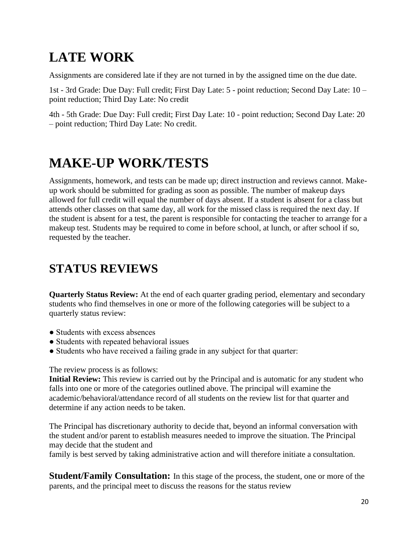## **LATE WORK**

Assignments are considered late if they are not turned in by the assigned time on the due date.

1st - 3rd Grade: Due Day: Full credit; First Day Late: 5 - point reduction; Second Day Late: 10 – point reduction; Third Day Late: No credit

4th - 5th Grade: Due Day: Full credit; First Day Late: 10 - point reduction; Second Day Late: 20 – point reduction; Third Day Late: No credit.

## **MAKE-UP WORK/TESTS**

Assignments, homework, and tests can be made up; direct instruction and reviews cannot. Makeup work should be submitted for grading as soon as possible. The number of makeup days allowed for full credit will equal the number of days absent. If a student is absent for a class but attends other classes on that same day, all work for the missed class is required the next day. If the student is absent for a test, the parent is responsible for contacting the teacher to arrange for a makeup test. Students may be required to come in before school, at lunch, or after school if so, requested by the teacher.

## **STATUS REVIEWS**

**Quarterly Status Review:** At the end of each quarter grading period, elementary and secondary students who find themselves in one or more of the following categories will be subject to a quarterly status review:

- Students with excess absences
- Students with repeated behavioral issues
- Students who have received a failing grade in any subject for that quarter:

The review process is as follows:

**Initial Review:** This review is carried out by the Principal and is automatic for any student who falls into one or more of the categories outlined above. The principal will examine the academic/behavioral/attendance record of all students on the review list for that quarter and determine if any action needs to be taken.

The Principal has discretionary authority to decide that, beyond an informal conversation with the student and/or parent to establish measures needed to improve the situation. The Principal may decide that the student and

family is best served by taking administrative action and will therefore initiate a consultation.

**Student/Family Consultation:** In this stage of the process, the student, one or more of the parents, and the principal meet to discuss the reasons for the status review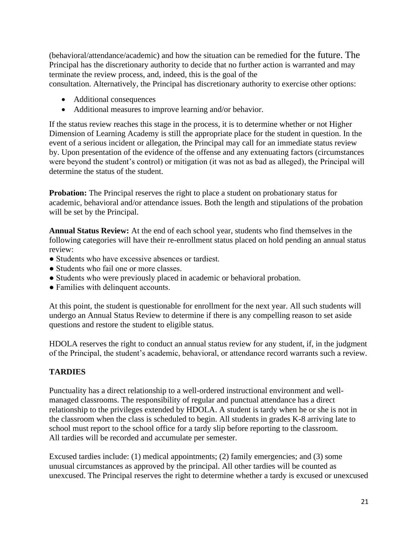(behavioral/attendance/academic) and how the situation can be remedied for the future. The Principal has the discretionary authority to decide that no further action is warranted and may terminate the review process, and, indeed, this is the goal of the

consultation. Alternatively, the Principal has discretionary authority to exercise other options:

- Additional consequences
- Additional measures to improve learning and/or behavior.

If the status review reaches this stage in the process, it is to determine whether or not Higher Dimension of Learning Academy is still the appropriate place for the student in question. In the event of a serious incident or allegation, the Principal may call for an immediate status review by. Upon presentation of the evidence of the offense and any extenuating factors (circumstances were beyond the student's control) or mitigation (it was not as bad as alleged), the Principal will determine the status of the student.

**Probation:** The Principal reserves the right to place a student on probationary status for academic, behavioral and/or attendance issues. Both the length and stipulations of the probation will be set by the Principal.

**Annual Status Review:** At the end of each school year, students who find themselves in the following categories will have their re-enrollment status placed on hold pending an annual status review:

- Students who have excessive absences or tardiest.
- Students who fail one or more classes.
- Students who were previously placed in academic or behavioral probation.
- Families with delinquent accounts.

At this point, the student is questionable for enrollment for the next year. All such students will undergo an Annual Status Review to determine if there is any compelling reason to set aside questions and restore the student to eligible status.

HDOLA reserves the right to conduct an annual status review for any student, if, in the judgment of the Principal, the student's academic, behavioral, or attendance record warrants such a review.

### **TARDIES**

Punctuality has a direct relationship to a well-ordered instructional environment and wellmanaged classrooms. The responsibility of regular and punctual attendance has a direct relationship to the privileges extended by HDOLA. A student is tardy when he or she is not in the classroom when the class is scheduled to begin. All students in grades K-8 arriving late to school must report to the school office for a tardy slip before reporting to the classroom. All tardies will be recorded and accumulate per semester.

Excused tardies include: (1) medical appointments; (2) family emergencies; and (3) some unusual circumstances as approved by the principal. All other tardies will be counted as unexcused. The Principal reserves the right to determine whether a tardy is excused or unexcused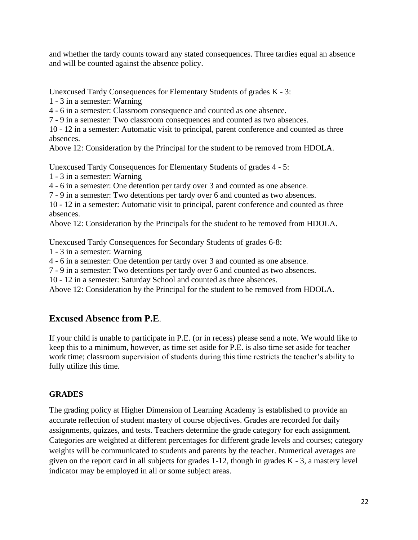and whether the tardy counts toward any stated consequences. Three tardies equal an absence and will be counted against the absence policy.

Unexcused Tardy Consequences for Elementary Students of grades K - 3:

1 - 3 in a semester: Warning

4 - 6 in a semester: Classroom consequence and counted as one absence.

7 - 9 in a semester: Two classroom consequences and counted as two absences.

10 - 12 in a semester: Automatic visit to principal, parent conference and counted as three absences.

Above 12: Consideration by the Principal for the student to be removed from HDOLA.

Unexcused Tardy Consequences for Elementary Students of grades 4 - 5:

1 - 3 in a semester: Warning

4 - 6 in a semester: One detention per tardy over 3 and counted as one absence.

7 - 9 in a semester: Two detentions per tardy over 6 and counted as two absences.

10 - 12 in a semester: Automatic visit to principal, parent conference and counted as three absences.

Above 12: Consideration by the Principals for the student to be removed from HDOLA.

Unexcused Tardy Consequences for Secondary Students of grades 6-8:

1 - 3 in a semester: Warning

4 - 6 in a semester: One detention per tardy over 3 and counted as one absence.

7 - 9 in a semester: Two detentions per tardy over 6 and counted as two absences.

10 - 12 in a semester: Saturday School and counted as three absences.

Above 12: Consideration by the Principal for the student to be removed from HDOLA.

### **Excused Absence from P.E**.

If your child is unable to participate in P.E. (or in recess) please send a note. We would like to keep this to a minimum, however, as time set aside for P.E. is also time set aside for teacher work time; classroom supervision of students during this time restricts the teacher's ability to fully utilize this time.

### **GRADES**

The grading policy at Higher Dimension of Learning Academy is established to provide an accurate reflection of student mastery of course objectives. Grades are recorded for daily assignments, quizzes, and tests. Teachers determine the grade category for each assignment. Categories are weighted at different percentages for different grade levels and courses; category weights will be communicated to students and parents by the teacher. Numerical averages are given on the report card in all subjects for grades 1-12, though in grades K - 3, a mastery level indicator may be employed in all or some subject areas.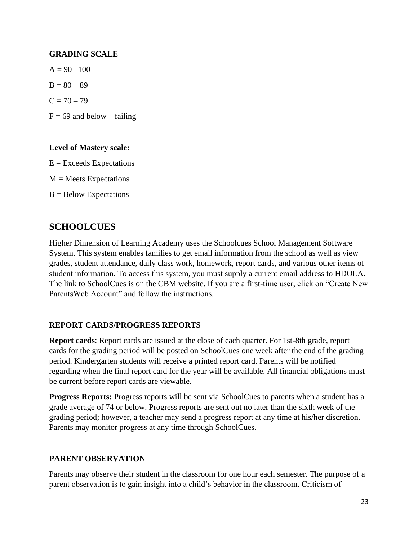### **GRADING SCALE**

 $A = 90 - 100$  $B = 80 - 89$  $C = 70 - 79$  $F = 69$  and below – failing

### **Level of Mastery scale:**

 $E =$  Exceeds Expectations

 $M = Meets$  Expectations

 $B =$  Below Expectations

### **SCHOOLCUES**

Higher Dimension of Learning Academy uses the Schoolcues School Management Software System. This system enables families to get email information from the school as well as view grades, student attendance, daily class work, homework, report cards, and various other items of student information. To access this system, you must supply a current email address to HDOLA. The link to SchoolCues is on the CBM website. If you are a first-time user, click on "Create New ParentsWeb Account" and follow the instructions.

### **REPORT CARDS/PROGRESS REPORTS**

**Report cards**: Report cards are issued at the close of each quarter. For 1st-8th grade, report cards for the grading period will be posted on SchoolCues one week after the end of the grading period. Kindergarten students will receive a printed report card. Parents will be notified regarding when the final report card for the year will be available. All financial obligations must be current before report cards are viewable.

**Progress Reports:** Progress reports will be sent via SchoolCues to parents when a student has a grade average of 74 or below. Progress reports are sent out no later than the sixth week of the grading period; however, a teacher may send a progress report at any time at his/her discretion. Parents may monitor progress at any time through SchoolCues.

### **PARENT OBSERVATION**

Parents may observe their student in the classroom for one hour each semester. The purpose of a parent observation is to gain insight into a child's behavior in the classroom. Criticism of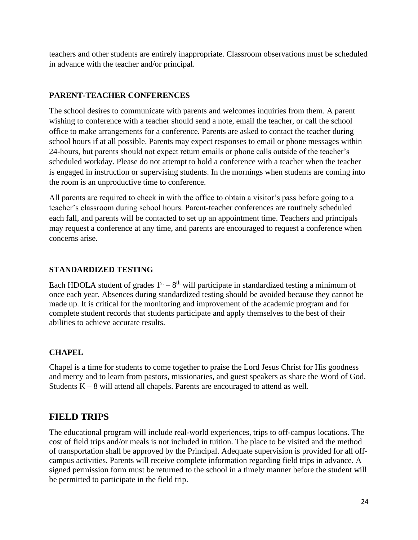teachers and other students are entirely inappropriate. Classroom observations must be scheduled in advance with the teacher and/or principal.

### **PARENT-TEACHER CONFERENCES**

The school desires to communicate with parents and welcomes inquiries from them. A parent wishing to conference with a teacher should send a note, email the teacher, or call the school office to make arrangements for a conference. Parents are asked to contact the teacher during school hours if at all possible. Parents may expect responses to email or phone messages within 24-hours, but parents should not expect return emails or phone calls outside of the teacher's scheduled workday. Please do not attempt to hold a conference with a teacher when the teacher is engaged in instruction or supervising students. In the mornings when students are coming into the room is an unproductive time to conference.

All parents are required to check in with the office to obtain a visitor's pass before going to a teacher's classroom during school hours. Parent-teacher conferences are routinely scheduled each fall, and parents will be contacted to set up an appointment time. Teachers and principals may request a conference at any time, and parents are encouraged to request a conference when concerns arise.

### **STANDARDIZED TESTING**

Each HDOLA student of grades  $1<sup>st</sup> - 8<sup>th</sup>$  will participate in standardized testing a minimum of once each year. Absences during standardized testing should be avoided because they cannot be made up. It is critical for the monitoring and improvement of the academic program and for complete student records that students participate and apply themselves to the best of their abilities to achieve accurate results.

### **CHAPEL**

Chapel is a time for students to come together to praise the Lord Jesus Christ for His goodness and mercy and to learn from pastors, missionaries, and guest speakers as share the Word of God. Students  $K - 8$  will attend all chapels. Parents are encouraged to attend as well.

### **FIELD TRIPS**

The educational program will include real-world experiences, trips to off-campus locations. The cost of field trips and/or meals is not included in tuition. The place to be visited and the method of transportation shall be approved by the Principal. Adequate supervision is provided for all offcampus activities. Parents will receive complete information regarding field trips in advance. A signed permission form must be returned to the school in a timely manner before the student will be permitted to participate in the field trip.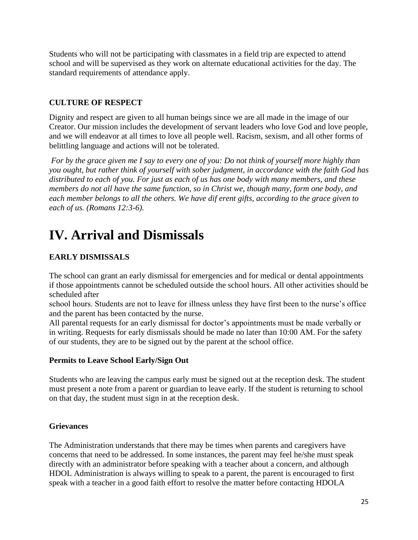Students who will not be participating with classmates in a field trip are expected to attend school and will be supervised as they work on alternate educational activities for the day. The standard requirements of attendance apply.

### **CULTURE OF RESPECT**

Dignity and respect are given to all human beings since we are all made in the image of our Creator. Our mission includes the development of servant leaders who love God and love people, and we will endeavor at all times to love all people well. Racism, sexism, and all other forms of belittling language and actions will not be tolerated.

*For by the grace given me I say to every one of you: Do not think of yourself more highly than you ought, but rather think of yourself with sober judgment, in accordance with the faith God has distributed to each of you. For just as each of us has one body with many members, and these members do not all have the same function, so in Christ we, though many, form one body, and each member belongs to all the others. We have dif erent gifts, according to the grace given to each of us. (Romans 12:3-6).*

## **IV. Arrival and Dismissals**

### **EARLY DISMISSALS**

The school can grant an early dismissal for emergencies and for medical or dental appointments if those appointments cannot be scheduled outside the school hours. All other activities should be scheduled after

school hours. Students are not to leave for illness unless they have first been to the nurse's office and the parent has been contacted by the nurse.

All parental requests for an early dismissal for doctor's appointments must be made verbally or in writing. Requests for early dismissals should be made no later than 10:00 AM. For the safety of our students, they are to be signed out by the parent at the school office.

### **Permits to Leave School Early/Sign Out**

Students who are leaving the campus early must be signed out at the reception desk. The student must present a note from a parent or guardian to leave early. If the student is returning to school on that day, the student must sign in at the reception desk.

### **Grievances**

The Administration understands that there may be times when parents and caregivers have concerns that need to be addressed. In some instances, the parent may feel he/she must speak directly with an administrator before speaking with a teacher about a concern, and although HDOL Administration is always willing to speak to a parent, the parent is encouraged to first speak with a teacher in a good faith effort to resolve the matter before contacting HDOLA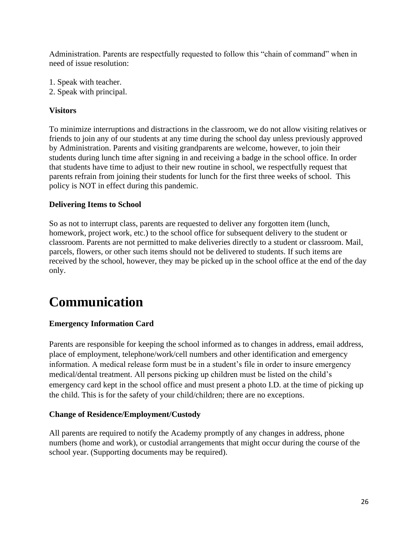Administration. Parents are respectfully requested to follow this "chain of command" when in need of issue resolution:

- 1. Speak with teacher.
- 2. Speak with principal.

### **Visitors**

To minimize interruptions and distractions in the classroom, we do not allow visiting relatives or friends to join any of our students at any time during the school day unless previously approved by Administration. Parents and visiting grandparents are welcome, however, to join their students during lunch time after signing in and receiving a badge in the school office. In order that students have time to adjust to their new routine in school, we respectfully request that parents refrain from joining their students for lunch for the first three weeks of school. This policy is NOT in effect during this pandemic.

### **Delivering Items to School**

So as not to interrupt class, parents are requested to deliver any forgotten item (lunch, homework, project work, etc.) to the school office for subsequent delivery to the student or classroom. Parents are not permitted to make deliveries directly to a student or classroom. Mail, parcels, flowers, or other such items should not be delivered to students. If such items are received by the school, however, they may be picked up in the school office at the end of the day only.

## **Communication**

### **Emergency Information Card**

Parents are responsible for keeping the school informed as to changes in address, email address, place of employment, telephone/work/cell numbers and other identification and emergency information. A medical release form must be in a student's file in order to insure emergency medical/dental treatment. All persons picking up children must be listed on the child's emergency card kept in the school office and must present a photo I.D. at the time of picking up the child. This is for the safety of your child/children; there are no exceptions.

### **Change of Residence/Employment/Custody**

All parents are required to notify the Academy promptly of any changes in address, phone numbers (home and work), or custodial arrangements that might occur during the course of the school year. (Supporting documents may be required).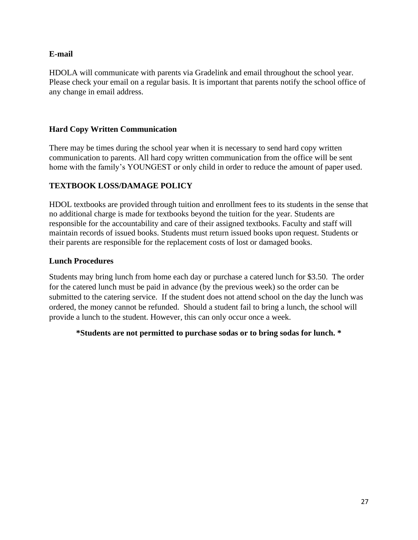### **E-mail**

HDOLA will communicate with parents via Gradelink and email throughout the school year. Please check your email on a regular basis. It is important that parents notify the school office of any change in email address.

### **Hard Copy Written Communication**

There may be times during the school year when it is necessary to send hard copy written communication to parents. All hard copy written communication from the office will be sent home with the family's YOUNGEST or only child in order to reduce the amount of paper used.

### **TEXTBOOK LOSS/DAMAGE POLICY**

HDOL textbooks are provided through tuition and enrollment fees to its students in the sense that no additional charge is made for textbooks beyond the tuition for the year. Students are responsible for the accountability and care of their assigned textbooks. Faculty and staff will maintain records of issued books. Students must return issued books upon request. Students or their parents are responsible for the replacement costs of lost or damaged books.

### **Lunch Procedures**

Students may bring lunch from home each day or purchase a catered lunch for \$3.50. The order for the catered lunch must be paid in advance (by the previous week) so the order can be submitted to the catering service. If the student does not attend school on the day the lunch was ordered, the money cannot be refunded. Should a student fail to bring a lunch, the school will provide a lunch to the student. However, this can only occur once a week.

### **\*Students are not permitted to purchase sodas or to bring sodas for lunch. \***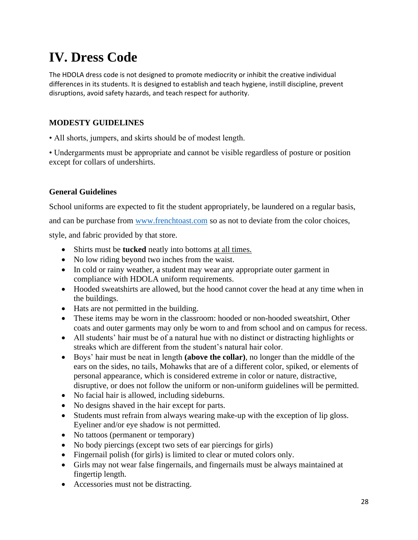## **IV. Dress Code**

The HDOLA dress code is not designed to promote mediocrity or inhibit the creative individual differences in its students. It is designed to establish and teach hygiene, instill discipline, prevent disruptions, avoid safety hazards, and teach respect for authority.

### **MODESTY GUIDELINES**

• All shorts, jumpers, and skirts should be of modest length.

• Undergarments must be appropriate and cannot be visible regardless of posture or position except for collars of undershirts.

### **General Guidelines**

School uniforms are expected to fit the student appropriately, be laundered on a regular basis,

and can be purchase from [www.frenchtoast.com](http://www.frenchtoast.com/) so as not to deviate from the color choices,

style, and fabric provided by that store.

- Shirts must be **tucked** neatly into bottoms at all times.
- No low riding beyond two inches from the waist.
- In cold or rainy weather, a student may wear any appropriate outer garment in compliance with HDOLA uniform requirements.
- Hooded sweatshirts are allowed, but the hood cannot cover the head at any time when in the buildings.
- Hats are not permitted in the building.
- These items may be worn in the classroom: hooded or non-hooded sweatshirt, Other coats and outer garments may only be worn to and from school and on campus for recess.
- All students' hair must be of a natural hue with no distinct or distracting highlights or streaks which are different from the student's natural hair color.
- Boys' hair must be neat in length **(above the collar)**, no longer than the middle of the ears on the sides, no tails, Mohawks that are of a different color, spiked, or elements of personal appearance, which is considered extreme in color or nature, distractive, disruptive, or does not follow the uniform or non-uniform guidelines will be permitted.
- No facial hair is allowed, including sideburns.
- No designs shaved in the hair except for parts.
- Students must refrain from always wearing make-up with the exception of lip gloss. Eyeliner and/or eye shadow is not permitted.
- No tattoos (permanent or temporary)
- No body piercings (except two sets of ear piercings for girls)
- Fingernail polish (for girls) is limited to clear or muted colors only.
- Girls may not wear false fingernails, and fingernails must be always maintained at fingertip length.
- Accessories must not be distracting.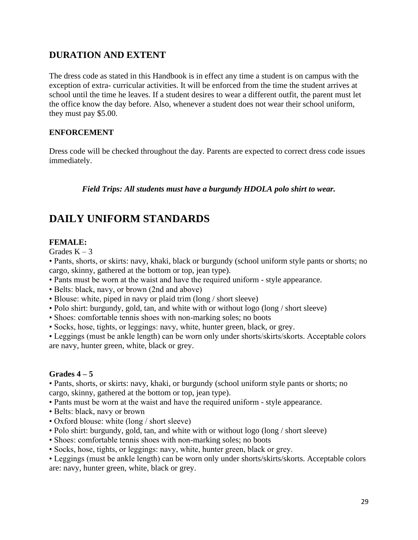### **DURATION AND EXTENT**

The dress code as stated in this Handbook is in effect any time a student is on campus with the exception of extra- curricular activities. It will be enforced from the time the student arrives at school until the time he leaves. If a student desires to wear a different outfit, the parent must let the office know the day before. Also, whenever a student does not wear their school uniform, they must pay \$5.00.

### **ENFORCEMENT**

Dress code will be checked throughout the day. Parents are expected to correct dress code issues immediately.

*Field Trips: All students must have a burgundy HDOLA polo shirt to wear.*

### **DAILY UNIFORM STANDARDS**

### **FEMALE:**

Grades  $K - 3$ 

• Pants, shorts, or skirts: navy, khaki, black or burgundy (school uniform style pants or shorts; no cargo, skinny, gathered at the bottom or top, jean type).

- Pants must be worn at the waist and have the required uniform style appearance.
- Belts: black, navy, or brown (2nd and above)
- Blouse: white, piped in navy or plaid trim (long / short sleeve)
- Polo shirt: burgundy, gold, tan, and white with or without logo (long / short sleeve)
- Shoes: comfortable tennis shoes with non-marking soles; no boots
- Socks, hose, tights, or leggings: navy, white, hunter green, black, or grey.

• Leggings (must be ankle length) can be worn only under shorts/skirts/skorts. Acceptable colors are navy, hunter green, white, black or grey.

#### **Grades 4 – 5**

• Pants, shorts, or skirts: navy, khaki, or burgundy (school uniform style pants or shorts; no cargo, skinny, gathered at the bottom or top, jean type).

• Pants must be worn at the waist and have the required uniform - style appearance.

- Belts: black, navy or brown
- Oxford blouse: white (long / short sleeve)
- Polo shirt: burgundy, gold, tan, and white with or without logo (long / short sleeve)
- Shoes: comfortable tennis shoes with non-marking soles; no boots
- Socks, hose, tights, or leggings: navy, white, hunter green, black or grey.
- Leggings (must be ankle length) can be worn only under shorts/skirts/skorts. Acceptable colors are: navy, hunter green, white, black or grey.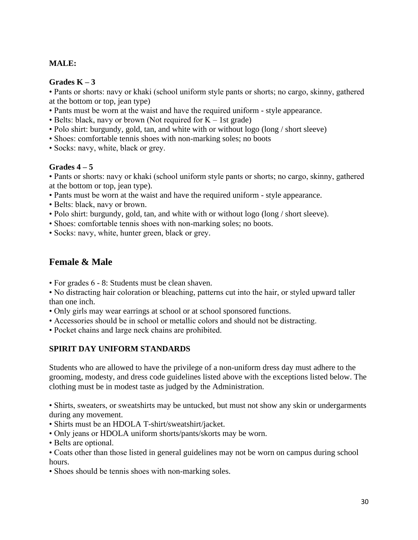### **MALE:**

### **Grades K – 3**

• Pants or shorts: navy or khaki (school uniform style pants or shorts; no cargo, skinny, gathered at the bottom or top, jean type)

- Pants must be worn at the waist and have the required uniform style appearance.
- Belts: black, navy or brown (Not required for  $K 1$ st grade)
- Polo shirt: burgundy, gold, tan, and white with or without logo (long / short sleeve)
- Shoes: comfortable tennis shoes with non-marking soles; no boots
- Socks: navy, white, black or grey.

### **Grades 4 – 5**

• Pants or shorts: navy or khaki (school uniform style pants or shorts; no cargo, skinny, gathered at the bottom or top, jean type).

- Pants must be worn at the waist and have the required uniform style appearance.
- Belts: black, navy or brown.
- Polo shirt: burgundy, gold, tan, and white with or without logo (long / short sleeve).
- Shoes: comfortable tennis shoes with non-marking soles; no boots.
- Socks: navy, white, hunter green, black or grey.

### **Female & Male**

- For grades 6 8: Students must be clean shaven.
- No distracting hair coloration or bleaching, patterns cut into the hair, or styled upward taller than one inch.
- Only girls may wear earrings at school or at school sponsored functions.
- Accessories should be in school or metallic colors and should not be distracting.
- Pocket chains and large neck chains are prohibited.

### **SPIRIT DAY UNIFORM STANDARDS**

Students who are allowed to have the privilege of a non-uniform dress day must adhere to the grooming, modesty, and dress code guidelines listed above with the exceptions listed below. The clothing must be in modest taste as judged by the Administration.

• Shirts, sweaters, or sweatshirts may be untucked, but must not show any skin or undergarments during any movement.

- Shirts must be an HDOLA T-shirt/sweatshirt/jacket.
- Only jeans or HDOLA uniform shorts/pants/skorts may be worn.
- Belts are optional.
- Coats other than those listed in general guidelines may not be worn on campus during school hours.
- Shoes should be tennis shoes with non-marking soles.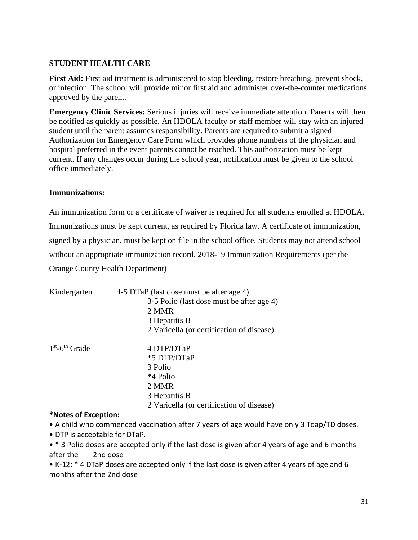### **STUDENT HEALTH CARE**

First Aid: First aid treatment is administered to stop bleeding, restore breathing, prevent shock, or infection. The school will provide minor first aid and administer over-the-counter medications approved by the parent.

**Emergency Clinic Services:** Serious injuries will receive immediate attention. Parents will then be notified as quickly as possible. An HDOLA faculty or staff member will stay with an injured student until the parent assumes responsibility. Parents are required to submit a signed Authorization for Emergency Care Form which provides phone numbers of the physician and hospital preferred in the event parents cannot be reached. This authorization must be kept current. If any changes occur during the school year, notification must be given to the school office immediately.

### **Immunizations:**

An immunization form or a certificate of waiver is required for all students enrolled at HDOLA. Immunizations must be kept current, as required by Florida law. A certificate of immunization, signed by a physician, must be kept on file in the school office. Students may not attend school without an appropriate immunization record. 2018-19 Immunization Requirements (per the Orange County Health Department)

| Kindergarten                 | 4-5 DTaP (last dose must be after age 4)<br>3-5 Polio (last dose must be after age 4)<br>2 MMR<br>3 Hepatitis B<br>2 Varicella (or certification of disease) |
|------------------------------|--------------------------------------------------------------------------------------------------------------------------------------------------------------|
| $1st$ -6 <sup>th</sup> Grade | 4 DTP/DTaP<br>*5 DTP/DTaP<br>3 Polio<br>*4 Polio<br>2 MMR<br>3 Hepatitis B<br>2 Varicella (or certification of disease)                                      |

### **\*Notes of Exception:**

• A child who commenced vaccination after 7 years of age would have only 3 Tdap/TD doses.

• DTP is acceptable for DTaP.

• \* 3 Polio doses are accepted only if the last dose is given after 4 years of age and 6 months after the 2nd dose

• K-12: \* 4 DTaP doses are accepted only if the last dose is given after 4 years of age and 6 months after the 2nd dose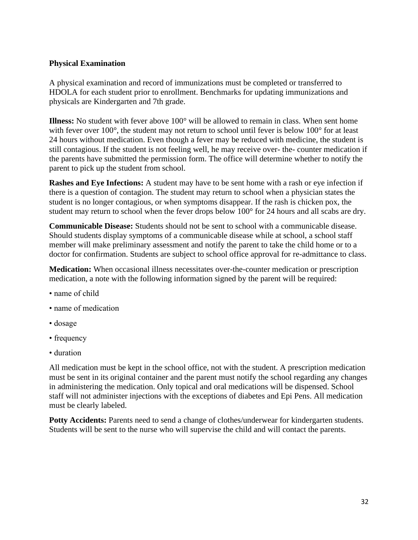### **Physical Examination**

A physical examination and record of immunizations must be completed or transferred to HDOLA for each student prior to enrollment. Benchmarks for updating immunizations and physicals are Kindergarten and 7th grade.

**Illness:** No student with fever above 100° will be allowed to remain in class. When sent home with fever over 100<sup>°</sup>, the student may not return to school until fever is below 100<sup>°</sup> for at least 24 hours without medication. Even though a fever may be reduced with medicine, the student is still contagious. If the student is not feeling well, he may receive over- the- counter medication if the parents have submitted the permission form. The office will determine whether to notify the parent to pick up the student from school.

**Rashes and Eye Infections:** A student may have to be sent home with a rash or eye infection if there is a question of contagion. The student may return to school when a physician states the student is no longer contagious, or when symptoms disappear. If the rash is chicken pox, the student may return to school when the fever drops below 100° for 24 hours and all scabs are dry.

**Communicable Disease:** Students should not be sent to school with a communicable disease. Should students display symptoms of a communicable disease while at school, a school staff member will make preliminary assessment and notify the parent to take the child home or to a doctor for confirmation. Students are subject to school office approval for re-admittance to class.

**Medication:** When occasional illness necessitates over-the-counter medication or prescription medication, a note with the following information signed by the parent will be required:

- name of child
- name of medication
- dosage
- frequency
- duration

All medication must be kept in the school office, not with the student. A prescription medication must be sent in its original container and the parent must notify the school regarding any changes in administering the medication. Only topical and oral medications will be dispensed. School staff will not administer injections with the exceptions of diabetes and Epi Pens. All medication must be clearly labeled.

Potty Accidents: Parents need to send a change of clothes/underwear for kindergarten students. Students will be sent to the nurse who will supervise the child and will contact the parents.